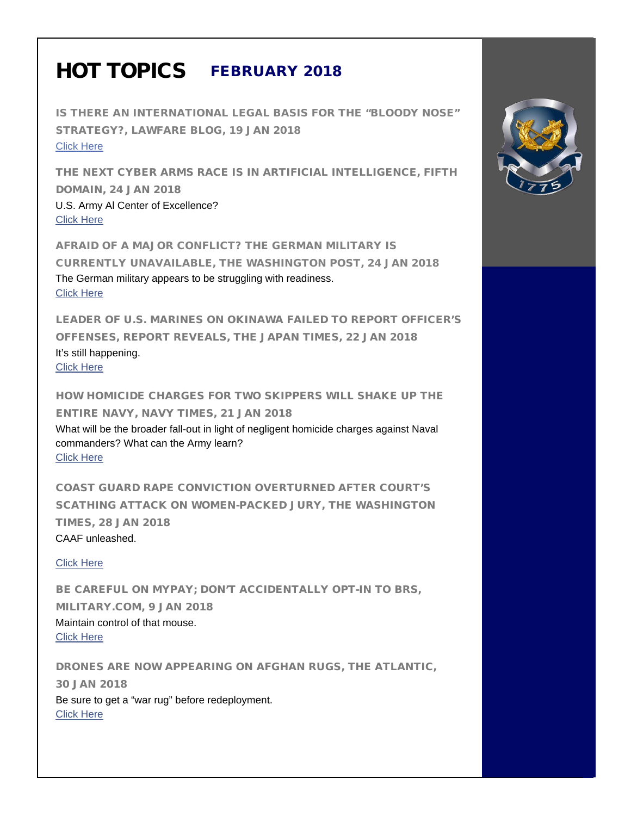## HOT TOPICS FEBRUARY 2018

IS THERE AN INTERNATIONAL LEGAL BASIS FOR THE "BLOODY NOSE" STRATEGY?, LAWFARE BLOG, 19 JAN 2018 [Click Here](https://lawfareblog.com/there-international-legal-basis-bloody-nose-strategy)

THE NEXT CYBER ARMS RACE IS IN ARTIFICIAL INTELLIGENCE, FIFTH DOMAIN, 24 JAN 2018 U.S. Army Al Center of Excellence? [Click Here](https://www.fifthdomain.com/dod/2018/01/24/the-next-cyber-arms-race-is-in-artificial-intelligence/) 

AFRAID OF A MAJOR CONFLICT? THE GERMAN MILITARY IS CURRENTLY UNAVAILABLE, THE WASHINGTON POST, 24 JAN 2018 The German military appears to be struggling with readiness. [Click Here](https://www.washingtonpost.com/news/worldviews/wp/2018/01/24/afraid-of-a-major-conflict-the-german-military-is-currently-unavailable/?hpid=hp_hp-cards_hp-card-world%3Ahomepage%2Fcard&utm_term=.247cc4ae3926)

LEADER OF U.S. MARINES ON OKINAWA FAILED TO REPORT OFFICER'S OFFENSES, REPORT REVEALS, THE JAPAN TIMES, 22 JAN 2018 It's still happening. [Click Here](https://www.japantimes.co.jp/news/2018/01/22/national/leader-u-s-marines-okinawa-failed-report-officers-offenses-report-reveals/#.WmYZdrg8KEd) 

HOW HOMICIDE CHARGES FOR TWO SKIPPERS WILL SHAKE UP THE ENTIRE NAVY, NAVY TIMES, 21 JAN 2018 What will be the broader fall-out in light of negligent homicide charges against Naval commanders? What can the Army learn? [Click Here](https://www.navytimes.com/news/your-navy/2018/01/21/how-homicide-charges-for-two-skippers-will-shake-up-the-entire-navy/?utm_) 

COAST GUARD RAPE CONVICTION OVERTURNED AFTER COURT'S SCATHING ATTACK ON WOMEN-PACKED JURY, THE WASHINGTON TIMES, 28 JAN 2018

CAAF unleashed.

[Click Here](https://www.washingtontimes.com/news/2018/jan/28/women-packed-court-gets-coast-guard-rape-convictio/)

BE CAREFUL ON MYPAY; DON'T ACCIDENTALLY OPT-IN TO BRS, MILITARY.COM, 9 JAN 2018 Maintain control of that mouse. [Click Here](https://www.military.com/paycheck-chronicles/2018/01/09/be-careful-mypay-dont-accidentally-opt-brs.html)

DRONES ARE NOW APPEARING ON AFGHAN RUGS, THE ATLANTIC, 30 JAN 2018 Be sure to get a "war rug" before redeployment. [Click Here](https://www.theatlantic.com/technology/archive/2015/01/drones-are-appearing-on-afghan-rugs/385025/?utm_source-atlfb)